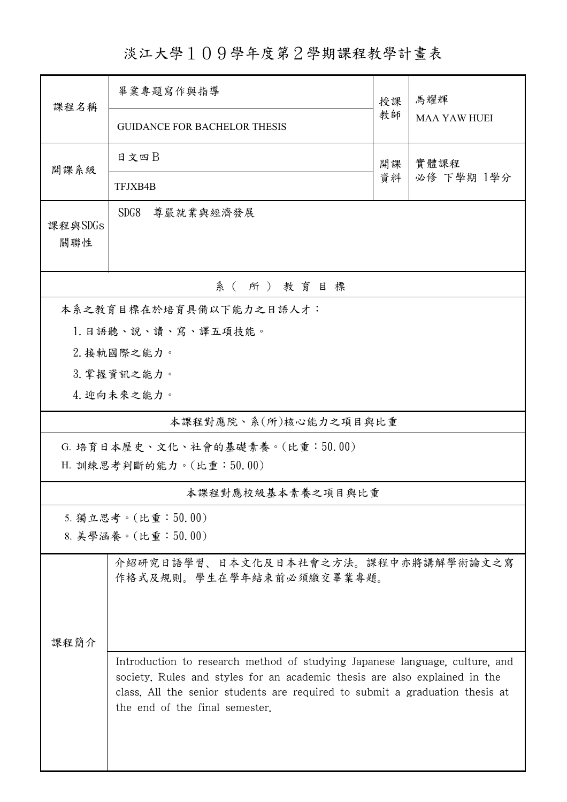淡江大學109學年度第2學期課程教學計畫表

| 課程名稱                            | 畢業專題寫作與指導                                                                                                                                                                                                                                                                   |            | 馬耀輝                 |  |  |  |  |  |
|---------------------------------|-----------------------------------------------------------------------------------------------------------------------------------------------------------------------------------------------------------------------------------------------------------------------------|------------|---------------------|--|--|--|--|--|
|                                 | <b>GUIDANCE FOR BACHELOR THESIS</b>                                                                                                                                                                                                                                         | 教師         | <b>MAA YAW HUEI</b> |  |  |  |  |  |
| 開課系級                            | 日文四日                                                                                                                                                                                                                                                                        | 實體課程<br>開課 |                     |  |  |  |  |  |
|                                 | TFJXB4B                                                                                                                                                                                                                                                                     | 資料         | 必修 下學期 1學分          |  |  |  |  |  |
| 課程與SDGs<br>關聯性                  | SDG8<br>尊嚴就業與經濟發展                                                                                                                                                                                                                                                           |            |                     |  |  |  |  |  |
| 系(所)教育目標                        |                                                                                                                                                                                                                                                                             |            |                     |  |  |  |  |  |
| 本系之教育目標在於培育具備以下能力之日語人才:         |                                                                                                                                                                                                                                                                             |            |                     |  |  |  |  |  |
|                                 | 1. 日語聽、說、讀、寫、譯五項技能。                                                                                                                                                                                                                                                         |            |                     |  |  |  |  |  |
| 2. 接軌國際之能力。                     |                                                                                                                                                                                                                                                                             |            |                     |  |  |  |  |  |
|                                 | 3. 掌握資訊之能力。                                                                                                                                                                                                                                                                 |            |                     |  |  |  |  |  |
|                                 | 4. 迎向未來之能力。                                                                                                                                                                                                                                                                 |            |                     |  |  |  |  |  |
| 本課程對應院、系(所)核心能力之項目與比重           |                                                                                                                                                                                                                                                                             |            |                     |  |  |  |  |  |
| G. 培育日本歷史、文化、社會的基礎素養。(比重:50.00) |                                                                                                                                                                                                                                                                             |            |                     |  |  |  |  |  |
| H. 訓練思考判斷的能力。(比重:50.00)         |                                                                                                                                                                                                                                                                             |            |                     |  |  |  |  |  |
| 本課程對應校級基本素養之項目與比重               |                                                                                                                                                                                                                                                                             |            |                     |  |  |  |  |  |
| 5. 獨立思考。(比重:50.00)              |                                                                                                                                                                                                                                                                             |            |                     |  |  |  |  |  |
| 8. 美學涵養。(比重:50.00)              |                                                                                                                                                                                                                                                                             |            |                     |  |  |  |  |  |
|                                 | 介紹研究日語學習、日本文化及日本社會之方法。課程中亦將講解學術論文之寫<br>作格式及規則。學生在學年結束前必須繳交畢業專題。                                                                                                                                                                                                             |            |                     |  |  |  |  |  |
| 课程简介                            |                                                                                                                                                                                                                                                                             |            |                     |  |  |  |  |  |
|                                 | Introduction to research method of studying Japanese language, culture, and<br>society. Rules and styles for an academic thesis are also explained in the<br>class. All the senior students are required to submit a graduation thesis at<br>the end of the final semester. |            |                     |  |  |  |  |  |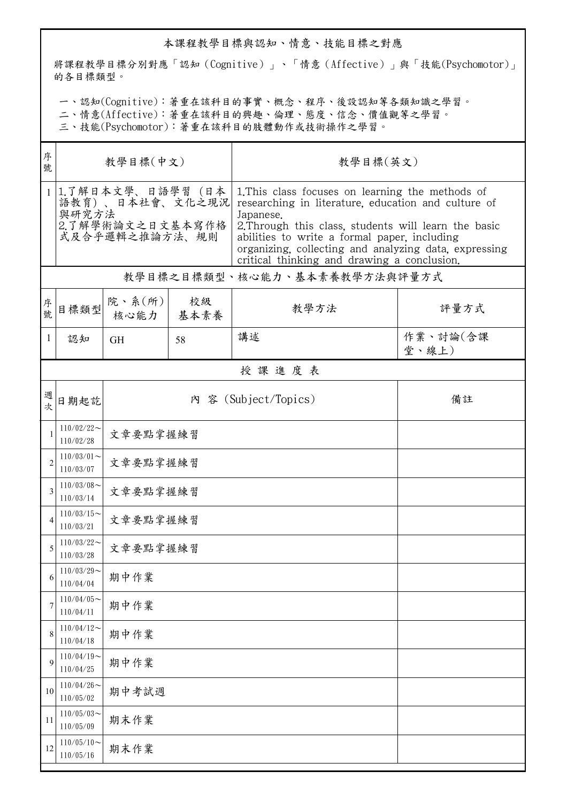## 本課程教學目標與認知、情意、技能目標之對應

將課程教學目標分別對應「認知(Cognitive)」、「情意(Affective)」與「技能(Psychomotor)」 的各目標類型。

一、認知(Cognitive):著重在該科目的事實、概念、程序、後設認知等各類知識之學習。

二、情意(Affective):著重在該科目的興趣、倫理、態度、信念、價值觀等之學習。

三、技能(Psychomotor):著重在該科目的肢體動作或技術操作之學習。

| 序<br>號         | 教學目標(中文)                                                                           |                            |            | 教學目標(英文)                                                                                                                                                                                                                                                                                                                             |                   |  |  |  |  |
|----------------|------------------------------------------------------------------------------------|----------------------------|------------|--------------------------------------------------------------------------------------------------------------------------------------------------------------------------------------------------------------------------------------------------------------------------------------------------------------------------------------|-------------------|--|--|--|--|
| $\mathbf{1}$   | 1.了解日本文學、日語學習(日本<br>語教育)、日本社會、文化之現況<br>與研究方法<br>2.了解學術論文之日文基本寫作格<br>式及合乎邏輯之推論方法、規則 |                            |            | 1. This class focuses on learning the methods of<br>researching in literature, education and culture of<br>Japanese.<br>2. Through this class, students will learn the basic<br>abilities to write a formal paper, including<br>organizing, collecting and analyzing data, expressing<br>critical thinking and drawing a conclusion. |                   |  |  |  |  |
|                | 教學目標之目標類型、核心能力、基本素養教學方法與評量方式                                                       |                            |            |                                                                                                                                                                                                                                                                                                                                      |                   |  |  |  |  |
| 序<br>號         | 目標類型                                                                               | 院、系 $(\kappa)$<br>核心能力     | 校級<br>基本素養 | 教學方法                                                                                                                                                                                                                                                                                                                                 | 評量方式              |  |  |  |  |
| 1              | 認知                                                                                 | <b>GH</b>                  | 58         | 講述                                                                                                                                                                                                                                                                                                                                   | 作業、討論(含課<br>堂、線上) |  |  |  |  |
|                | 授課進度表                                                                              |                            |            |                                                                                                                                                                                                                                                                                                                                      |                   |  |  |  |  |
| 週次             | 日期起訖                                                                               | 內 容 (Subject/Topics)<br>備註 |            |                                                                                                                                                                                                                                                                                                                                      |                   |  |  |  |  |
| $\mathbf{1}$   | $110/02/22$ ~<br>110/02/28                                                         | 文章要點掌握練習                   |            |                                                                                                                                                                                                                                                                                                                                      |                   |  |  |  |  |
| $\overline{2}$ | $110/03/01$ ~<br>110/03/07                                                         | 文章要點掌握練習                   |            |                                                                                                                                                                                                                                                                                                                                      |                   |  |  |  |  |
| 3              | $110/03/08$ ~<br>110/03/14                                                         | 文章要點掌握練習                   |            |                                                                                                                                                                                                                                                                                                                                      |                   |  |  |  |  |
| 4              | $110/03/15$ ~<br>110/03/21                                                         | 文章要點掌握練習                   |            |                                                                                                                                                                                                                                                                                                                                      |                   |  |  |  |  |
| 5              | $110/03/22$ ~<br>110/03/28                                                         | 文章要點掌握練習                   |            |                                                                                                                                                                                                                                                                                                                                      |                   |  |  |  |  |
| 6              | $110/03/29$ ~<br>110/04/04                                                         | 期中作業                       |            |                                                                                                                                                                                                                                                                                                                                      |                   |  |  |  |  |
| 7              | $110/04/05$ ~<br>110/04/11                                                         | 期中作業                       |            |                                                                                                                                                                                                                                                                                                                                      |                   |  |  |  |  |
| 8              | $110/04/12$ ~<br>110/04/18                                                         | 期中作業                       |            |                                                                                                                                                                                                                                                                                                                                      |                   |  |  |  |  |
| 9              | $110/04/19$ ~<br>110/04/25                                                         | 期中作業                       |            |                                                                                                                                                                                                                                                                                                                                      |                   |  |  |  |  |
| 10             | $110/04/26$ ~<br>110/05/02                                                         | 期中考試週                      |            |                                                                                                                                                                                                                                                                                                                                      |                   |  |  |  |  |
| 11             | $110/05/03$ ~<br>110/05/09                                                         | 期末作業                       |            |                                                                                                                                                                                                                                                                                                                                      |                   |  |  |  |  |
| 12             | $110/05/10$ ~<br>110/05/16                                                         | 期末作業                       |            |                                                                                                                                                                                                                                                                                                                                      |                   |  |  |  |  |